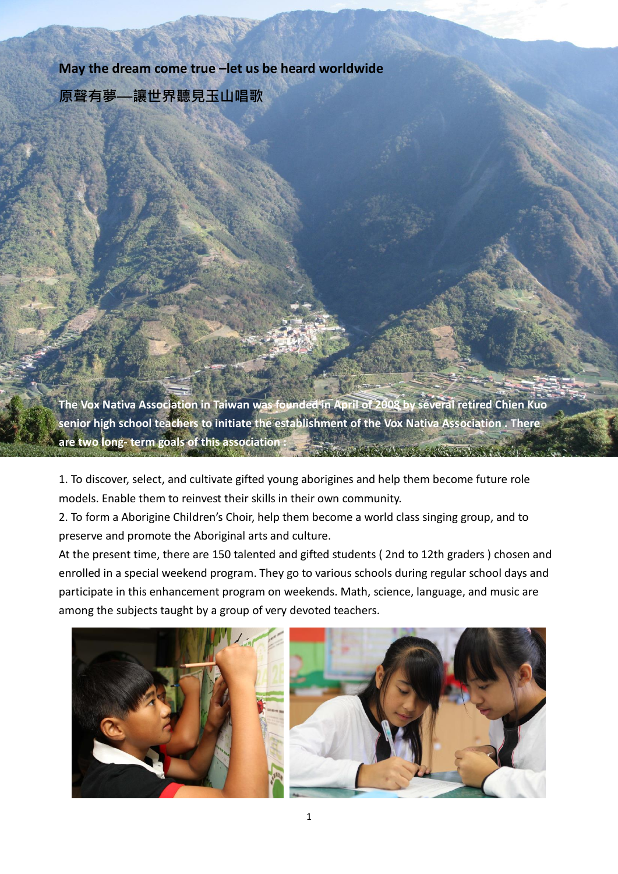**May the dream come true –let us be heard worldwide 原聲有夢—讓世界聽見玉山唱歌**

**The Vox Nativa Association in Taiwan was founded in April of 2008 by several retired Chien Kuo senior high school teachers to initiate the establishment of the Vox Nativa Association . There are two long- term goals of this association :**

1. To discover, select, and cultivate gifted young aborigines and help them become future role models. Enable them to reinvest their skills in their own community.

2. To form a Aborigine Children's Choir, help them become a world class singing group, and to preserve and promote the Aboriginal arts and culture.

At the present time, there are 150 talented and gifted students ( 2nd to 12th graders ) chosen and enrolled in a special weekend program. They go to various schools during regular school days and participate in this enhancement program on weekends. Math, science, language, and music are among the subjects taught by a group of very devoted teachers.